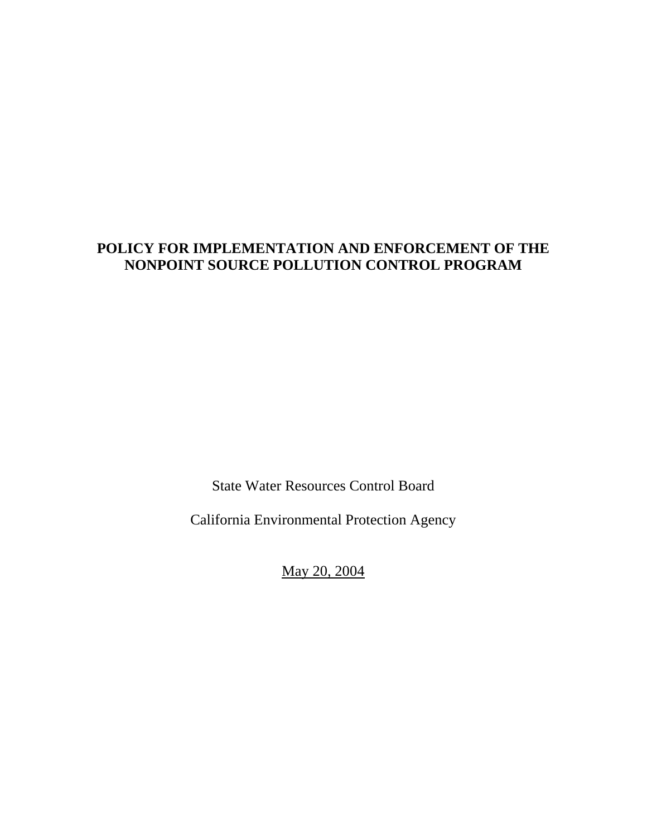# **POLICY FOR IMPLEMENTATION AND ENFORCEMENT OF THE NONPOINT SOURCE POLLUTION CONTROL PROGRAM**

State Water Resources Control Board

California Environmental Protection Agency

May 20, 2004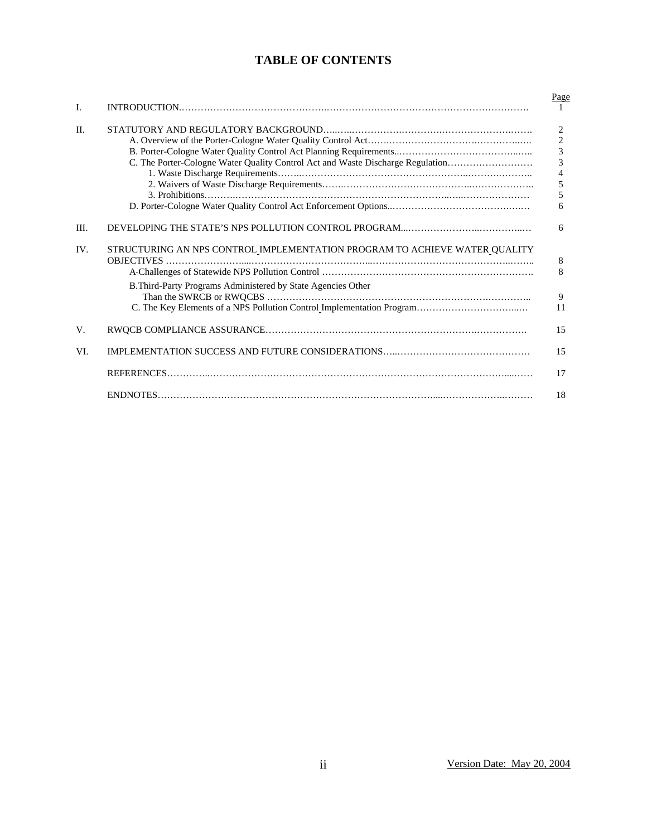## **TABLE OF CONTENTS**

|                |                                                                                | Page           |
|----------------|--------------------------------------------------------------------------------|----------------|
| $\mathbf{I}$ . |                                                                                |                |
| $\Pi$ .        |                                                                                | $\overline{2}$ |
|                |                                                                                | $\frac{2}{3}$  |
|                |                                                                                |                |
|                | C. The Porter-Cologne Water Quality Control Act and Waste Discharge Regulation | $\overline{3}$ |
|                |                                                                                | $\frac{4}{5}$  |
|                |                                                                                |                |
|                |                                                                                | 5              |
|                |                                                                                | 6              |
| III.           |                                                                                | 6              |
| IV.            | STRUCTURING AN NPS CONTROL IMPLEMENTATION PROGRAM TO ACHIEVE WATER QUALITY     | 8              |
|                |                                                                                | 8              |
|                | B.Third-Party Programs Administered by State Agencies Other                    |                |
|                |                                                                                | 9              |
|                |                                                                                | 11             |
| V.             |                                                                                | 15             |
| VI.            |                                                                                | 15             |
|                |                                                                                | 17             |
|                |                                                                                | 18             |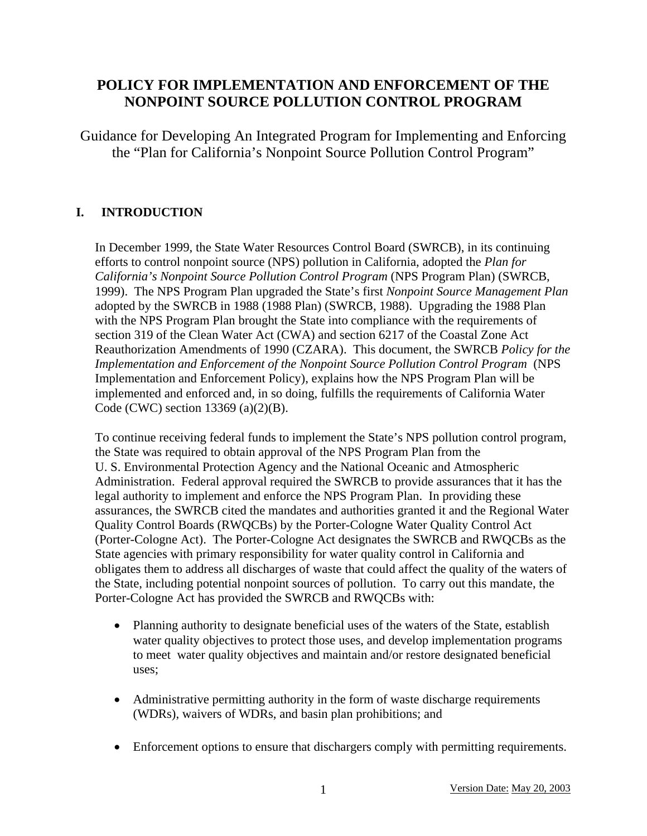# **POLICY FOR IMPLEMENTATION AND ENFORCEMENT OF THE NONPOINT SOURCE POLLUTION CONTROL PROGRAM**

Guidance for Developing An Integrated Program for Implementing and Enforcing the "Plan for California's Nonpoint Source Pollution Control Program"

## **I. INTRODUCTION**

In December 1999, the State Water Resources Control Board (SWRCB), in its continuing efforts to control nonpoint source (NPS) pollution in California, adopted the *Plan for California's Nonpoint Source Pollution Control Program* (NPS Program Plan) (SWRCB, 1999). The NPS Program Plan upgraded the State's first *Nonpoint Source Management Plan*  adopted by the SWRCB in 1988 (1988 Plan) (SWRCB, 1988). Upgrading the 1988 Plan with the NPS Program Plan brought the State into compliance with the requirements of section 319 of the Clean Water Act (CWA) and section 6217 of the Coastal Zone Act Reauthorization Amendments of 1990 (CZARA). This document, the SWRCB *Policy for the Implementation and Enforcement of the Nonpoint Source Pollution Control Program* (NPS Implementation and Enforcement Policy), explains how the NPS Program Plan will be implemented and enforced and, in so doing, fulfills the requirements of California Water Code (CWC) section 13369 (a)(2)(B).

To continue receiving federal funds to implement the State's NPS pollution control program, the State was required to obtain approval of the NPS Program Plan from the U. S. Environmental Protection Agency and the National Oceanic and Atmospheric Administration. Federal approval required the SWRCB to provide assurances that it has the legal authority to implement and enforce the NPS Program Plan. In providing these assurances, the SWRCB cited the mandates and authorities granted it and the Regional Water Quality Control Boards (RWQCBs) by the Porter-Cologne Water Quality Control Act (Porter-Cologne Act). The Porter-Cologne Act designates the SWRCB and RWQCBs as the State agencies with primary responsibility for water quality control in California and obligates them to address all discharges of waste that could affect the quality of the waters of the State, including potential nonpoint sources of pollution. To carry out this mandate, the Porter-Cologne Act has provided the SWRCB and RWQCBs with:

- Planning authority to designate beneficial uses of the waters of the State, establish water quality objectives to protect those uses, and develop implementation programs to meet water quality objectives and maintain and/or restore designated beneficial uses;
- Administrative permitting authority in the form of waste discharge requirements (WDRs), waivers of WDRs, and basin plan prohibitions; and
- Enforcement options to ensure that dischargers comply with permitting requirements.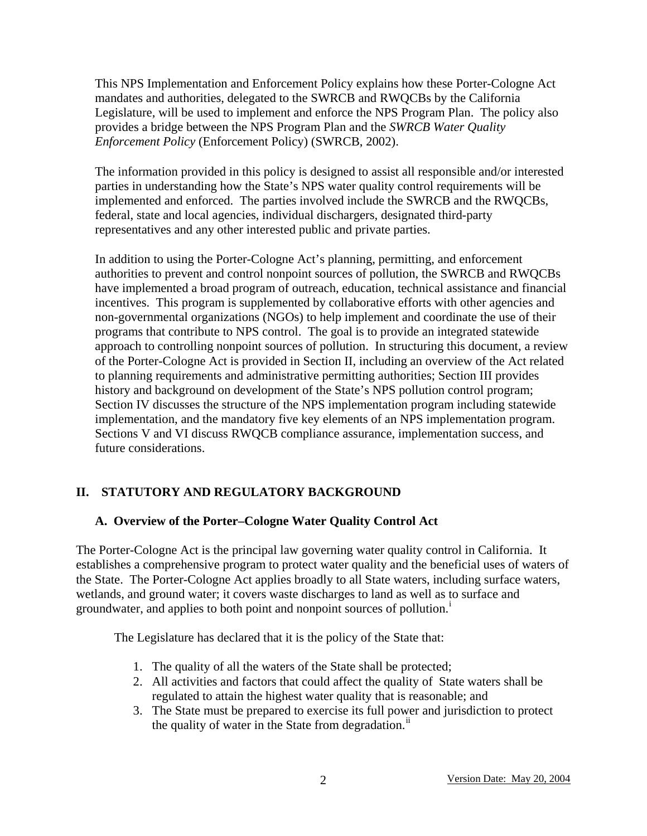This NPS Implementation and Enforcement Policy explains how these Porter-Cologne Act mandates and authorities, delegated to the SWRCB and RWQCBs by the California Legislature, will be used to implement and enforce the NPS Program Plan. The policy also provides a bridge between the NPS Program Plan and the *SWRCB Water Quality Enforcement Policy* (Enforcement Policy) (SWRCB, 2002).

The information provided in this policy is designed to assist all responsible and/or interested parties in understanding how the State's NPS water quality control requirements will be implemented and enforced. The parties involved include the SWRCB and the RWQCBs, federal, state and local agencies, individual dischargers, designated third-party representatives and any other interested public and private parties.

In addition to using the Porter-Cologne Act's planning, permitting, and enforcement authorities to prevent and control nonpoint sources of pollution, the SWRCB and RWQCBs have implemented a broad program of outreach, education, technical assistance and financial incentives. This program is supplemented by collaborative efforts with other agencies and non-governmental organizations (NGOs) to help implement and coordinate the use of their programs that contribute to NPS control. The goal is to provide an integrated statewide approach to controlling nonpoint sources of pollution. In structuring this document, a review of the Porter-Cologne Act is provided in Section II, including an overview of the Act related to planning requirements and administrative permitting authorities; Section III provides history and background on development of the State's NPS pollution control program; Section IV discusses the structure of the NPS implementation program including statewide implementation, and the mandatory five key elements of an NPS implementation program. Sections V and VI discuss RWQCB compliance assurance, implementation success, and future considerations.

## **II. STATUTORY AND REGULATORY BACKGROUND**

### **A. Overview of the Porter–Cologne Water Quality Control Act**

The Porter-Cologne Act is the principal law governing water quality control in California. It establishes a comprehensive program to protect water quality and the beneficial uses of waters of the State. The Porter-Cologne Act applies broadly to all State waters, including surface waters, wetlands, and ground water; it covers waste discharges to land as well as to surface and groundwater, and appl[i](#page-19-0)es to both point and nonpoint sources of pollution.<sup>1</sup>

The Legislature has declared that it is the policy of the State that:

- 1. The quality of all the waters of the State shall be protected;
- 2. All activities and factors that could affect the quality of State waters shall be regulated to attain the highest water quality that is reasonable; and
- 3. The State must be prepared to exercise its full power and jurisdiction to protect the quality of water in the State from degradation.<sup>[ii](#page-19-1)</sup>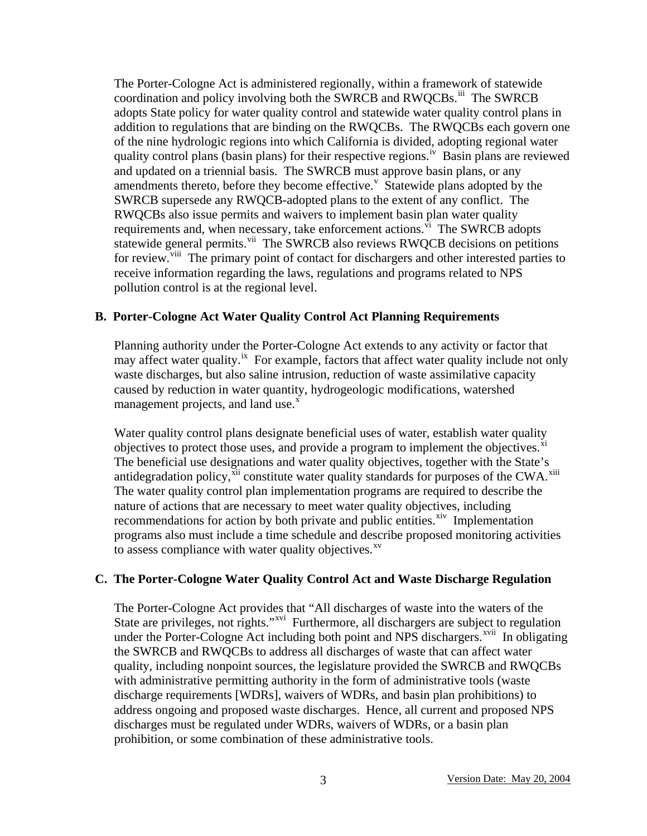The Porter-Cologne Act is administered regionally, within a framework of statewide coordination and policy involving both the SWRCB and RWQCBs.<sup>[iii](#page-19-2)</sup> The SWRCB adopts State policy for water quality control and statewide water quality control plans in addition to regulations that are binding on the RWQCBs. The RWQCBs each govern one of the nine hydrologic regions into which California is divided, adopting regional water quality control plans (basin plans) for their respective regions.<sup>iv</sup> Basin plans are reviewed and updated on a triennial basis. The SWRCB must approve basin plans, or any amendments thereto, before they become effecti[v](#page-19-4)e. $\frac{v}{v}$  Statewide plans adopted by the SWRCB supersede any RWQCB-adopted plans to the extent of any conflict. The RWQCBs also issue permits and waivers to implement basin plan water quality requirements and, when necessary, take enforcement actions. $\overline{v}$ <sup>1</sup> The SWRCB adopts statewide general permits.<sup>vii</sup> The SWRCB also reviews RWQCB decisions on petitions for review.<sup>viii</sup> The primary point of contact for dischargers and other interested parties to receive information regarding the laws, regulations and programs related to NPS pollution control is at the regional level.

### **B. Porter-Cologne Act Water Quality Control Act Planning Requirements**

Planning authority under the Porter-Cologne Act extends to any activity or factor that may affect water quality.<sup>ix</sup> For example, factors that affect water quality include not only waste discharges, but also saline intrusion, reduction of waste assimilative capacity caused by reduction in water quantity, hydrogeologic modifications, watershed management projects, and land use. $^x$  $^x$ 

Water quality control plans designate beneficial uses of water, establish water quality objectives to protect those uses, and provide a program to implement the objectives. $x_i$ The beneficial use designations and water quality objectives, together with the State's antidegradation policy, $\frac{x}{x}$  constitute water quality standards for purposes of the CWA.<sup>[xii](#page-19-11)i</sup> The water quality control plan implementation programs are required to describe the nature of actions that are necessary to meet water quality objectives, including recommendations for action by both private and public entities.<sup>[xiv](#page-19-13)</sup> Implementation programs also must include a time schedule and describe proposed monitoring activities to assess compliance with water quality objectives.<sup>[xv](#page-19-14)</sup>

### **C. The Porter-Cologne Water Quality Control Act and Waste Discharge Regulation**

The Porter-Cologne Act provides that "All discharges of waste into the waters of the State are privileges, not rights."<sup>xvi</sup> Furthermore, all dischargers are subject to regulation under the Porter-Cologne Act including both point and NPS dischargers. $\frac{xvii}{}$  In obligating the SWRCB and RWQCBs to address all discharges of waste that can affect water quality, including nonpoint sources, the legislature provided the SWRCB and RWQCBs with administrative permitting authority in the form of administrative tools (waste discharge requirements [WDRs], waivers of WDRs, and basin plan prohibitions) to address ongoing and proposed waste discharges. Hence, all current and proposed NPS discharges must be regulated under WDRs, waivers of WDRs, or a basin plan prohibition, or some combination of these administrative tools.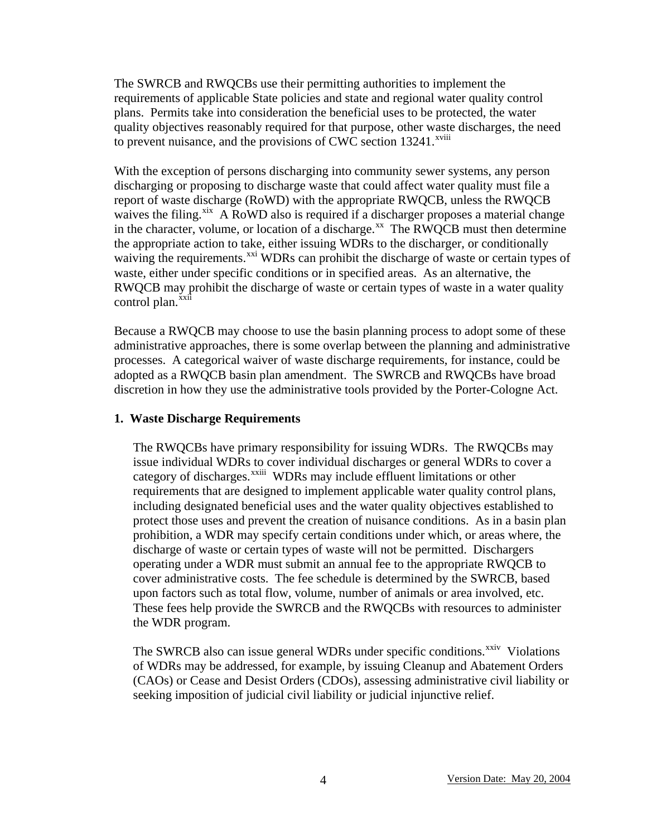The SWRCB and RWQCBs use their permitting authorities to implement the requirements of applicable State policies and state and regional water quality control plans. Permits take into consideration the beneficial uses to be protected, the water quality objectives reasonably required for that purpose, other wast[e](#page-19-17) discharges, the need to prevent nuisance, and the provisions of CWC section  $13241$ <sup>xviii</sup>

With the exception of persons discharging into community sewer systems, any person discharging or proposing to discharge waste that could affect water quality must file a report of waste discharge (RoWD) with the appropriate RWQCB, unless the RWQCB waives the filing.<sup>xix</sup> A RoWD also is required if a discharger proposes a material change in the character, volume, or location of a discharge.<sup>xx</sup> The RWQCB must then determine the appropriate action to take, either issuing WDRs to the discharger, or conditionally waiving the requirements.<sup>[xxi](#page-19-20)</sup> WDRs can prohibit the discharge of waste or certain types of waste, either under specific conditions or in specified areas. As an alternative, the RWQCB may prohibit the discharge of waste or certain types of waste in a water quality control plan.<sup>[xxii](#page-19-21)</sup>

Because a RWQCB may choose to use the basin planning process to adopt some of these administrative approaches, there is some overlap between the planning and administrative processes. A categorical waiver of waste discharge requirements, for instance, could be adopted as a RWQCB basin plan amendment. The SWRCB and RWQCBs have broad discretion in how they use the administrative tools provided by the Porter-Cologne Act.

#### **1. Waste Discharge Requirements**

The RWQCBs have primary responsibility for issuing WDRs. The RWQCBs may issue individual WDRs to cover individual discharges or general WDRs to cover a category of discharges.<sup>xxiii</sup> WDRs may include effluent limitations or other requirements that are designed to implement applicable water quality control plans, including designated beneficial uses and the water quality objectives established to protect those uses and prevent the creation of nuisance conditions. As in a basin plan prohibition, a WDR may specify certain conditions under which, or areas where, the discharge of waste or certain types of waste will not be permitted. Dischargers operating under a WDR must submit an annual fee to the appropriate RWQCB to cover administrative costs. The fee schedule is determined by the SWRCB, based upon factors such as total flow, volume, number of animals or area involved, etc. These fees help provide the SWRCB and the RWQCBs with resources to administer the WDR program.

The SWRCB also can issue general WDRs under specific conditions.<sup>[xxiv](#page-19-23)</sup> Violations of WDRs may be addressed, for example, by issuing Cleanup and Abatement Orders (CAOs) or Cease and Desist Orders (CDOs), assessing administrative civil liability or seeking imposition of judicial civil liability or judicial injunctive relief.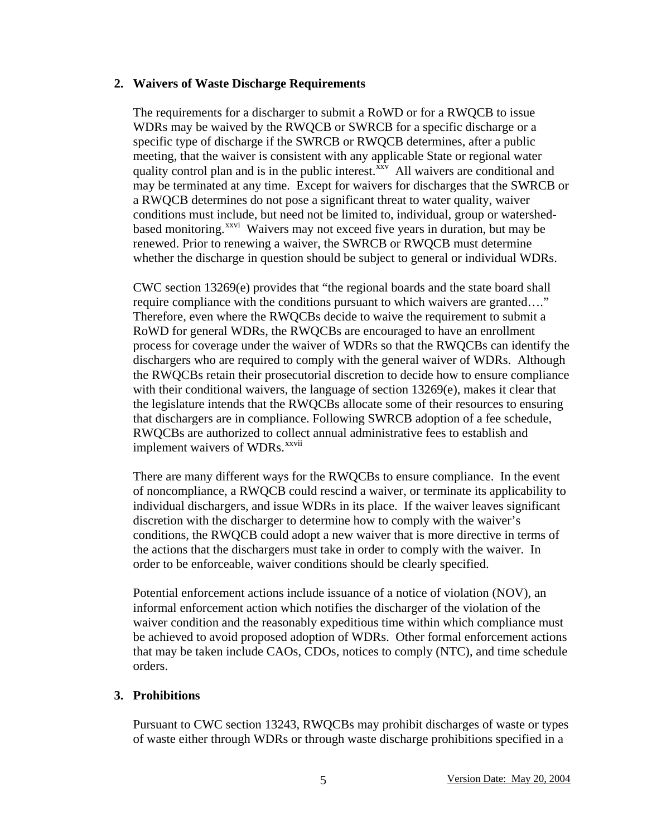#### **2. Waivers of Waste Discharge Requirements**

The requirements for a discharger to submit a RoWD or for a RWQCB to issue WDRs may be waived by the RWQCB or SWRCB for a specific discharge or a specific type of discharge if the SWRCB or RWQCB determines, after a public meeting, that the waiver is consistent with any applicable State or regional water quality control plan and is in the public interest. $\frac{x}{x}$  All waivers are conditional and may be terminated at any time. Except for waivers for discharges that the SWRCB or a RWQCB determines do not pose a significant threat to water quality, waiver conditions must include, but need not be limited to, individual, group or watershedbased monitoring.<sup>[xxvi](#page-19-25)</sup> Waivers may not exceed five years in duration, but may be renewed. Prior to renewing a waiver, the SWRCB or RWQCB must determine whether the discharge in question should be subject to general or individual WDRs.

CWC section 13269(e) provides that "the regional boards and the state board shall require compliance with the conditions pursuant to which waivers are granted…." Therefore, even where the RWQCBs decide to waive the requirement to submit a RoWD for general WDRs, the RWQCBs are encouraged to have an enrollment process for coverage under the waiver of WDRs so that the RWQCBs can identify the dischargers who are required to comply with the general waiver of WDRs. Although the RWQCBs retain their prosecutorial discretion to decide how to ensure compliance with their conditional waivers, the language of section 13269(e), makes it clear that the legislature intends that the RWQCBs allocate some of their resources to ensuring that dischargers are in compliance. Following SWRCB adoption of a fee schedule, RWQCBs are authorized to colle[c](#page-19-26)t annual administrative fees to establish and implement waivers of WDRs.<sup>xxvii</sup>

There are many different ways for the RWQCBs to ensure compliance. In the event of noncompliance, a RWQCB could rescind a waiver, or terminate its applicability to individual dischargers, and issue WDRs in its place. If the waiver leaves significant discretion with the discharger to determine how to comply with the waiver's conditions, the RWQCB could adopt a new waiver that is more directive in terms of the actions that the dischargers must take in order to comply with the waiver. In order to be enforceable, waiver conditions should be clearly specified.

Potential enforcement actions include issuance of a notice of violation (NOV), an informal enforcement action which notifies the discharger of the violation of the waiver condition and the reasonably expeditious time within which compliance must be achieved to avoid proposed adoption of WDRs. Other formal enforcement actions that may be taken include CAOs, CDOs, notices to comply (NTC), and time schedule orders.

#### **3. Prohibitions**

Pursuant to CWC section 13243, RWQCBs may prohibit discharges of waste or types of waste either through WDRs or through waste discharge prohibitions specified in a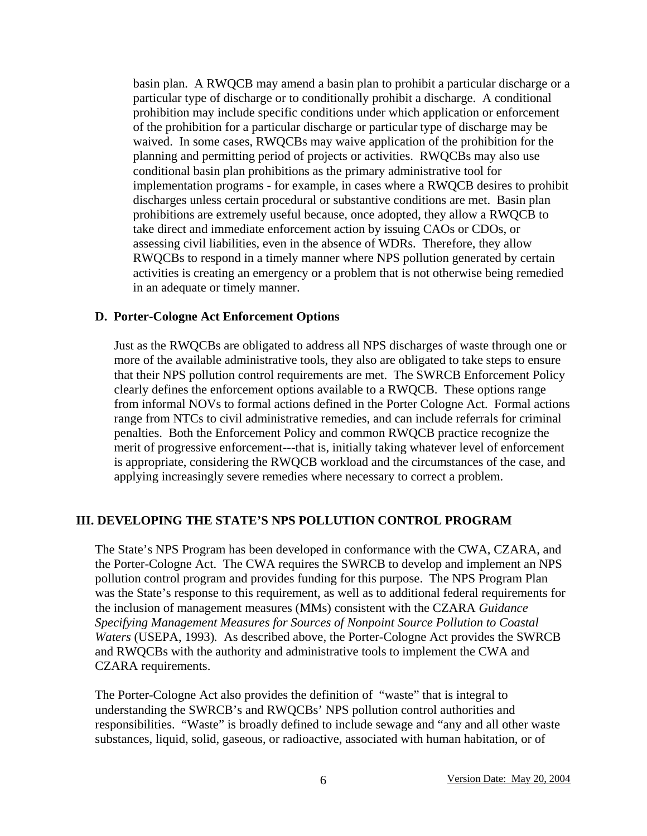basin plan. A RWQCB may amend a basin plan to prohibit a particular discharge or a particular type of discharge or to conditionally prohibit a discharge. A conditional prohibition may include specific conditions under which application or enforcement of the prohibition for a particular discharge or particular type of discharge may be waived. In some cases, RWQCBs may waive application of the prohibition for the planning and permitting period of projects or activities. RWQCBs may also use conditional basin plan prohibitions as the primary administrative tool for implementation programs - for example, in cases where a RWQCB desires to prohibit discharges unless certain procedural or substantive conditions are met. Basin plan prohibitions are extremely useful because, once adopted, they allow a RWQCB to take direct and immediate enforcement action by issuing CAOs or CDOs, or assessing civil liabilities, even in the absence of WDRs. Therefore, they allow RWQCBs to respond in a timely manner where NPS pollution generated by certain activities is creating an emergency or a problem that is not otherwise being remedied in an adequate or timely manner.

#### **D. Porter-Cologne Act Enforcement Options**

Just as the RWQCBs are obligated to address all NPS discharges of waste through one or more of the available administrative tools, they also are obligated to take steps to ensure that their NPS pollution control requirements are met. The SWRCB Enforcement Policy clearly defines the enforcement options available to a RWQCB. These options range from informal NOVs to formal actions defined in the Porter Cologne Act. Formal actions range from NTCs to civil administrative remedies, and can include referrals for criminal penalties. Both the Enforcement Policy and common RWQCB practice recognize the merit of progressive enforcement---that is, initially taking whatever level of enforcement is appropriate, considering the RWQCB workload and the circumstances of the case, and applying increasingly severe remedies where necessary to correct a problem.

#### **III. DEVELOPING THE STATE'S NPS POLLUTION CONTROL PROGRAM**

The State's NPS Program has been developed in conformance with the CWA, CZARA, and the Porter-Cologne Act. The CWA requires the SWRCB to develop and implement an NPS pollution control program and provides funding for this purpose. The NPS Program Plan was the State's response to this requirement, as well as to additional federal requirements for the inclusion of management measures (MMs) consistent with the CZARA *Guidance Specifying Management Measures for Sources of Nonpoint Source Pollution to Coastal Waters* (USEPA, 1993)*.* As described above, the Porter-Cologne Act provides the SWRCB and RWQCBs with the authority and administrative tools to implement the CWA and CZARA requirements.

The Porter-Cologne Act also provides the definition of "waste" that is integral to understanding the SWRCB's and RWQCBs' NPS pollution control authorities and responsibilities. "Waste" is broadly defined to include sewage and "any and all other waste substances, liquid, solid, gaseous, or radioactive, associated with human habitation, or of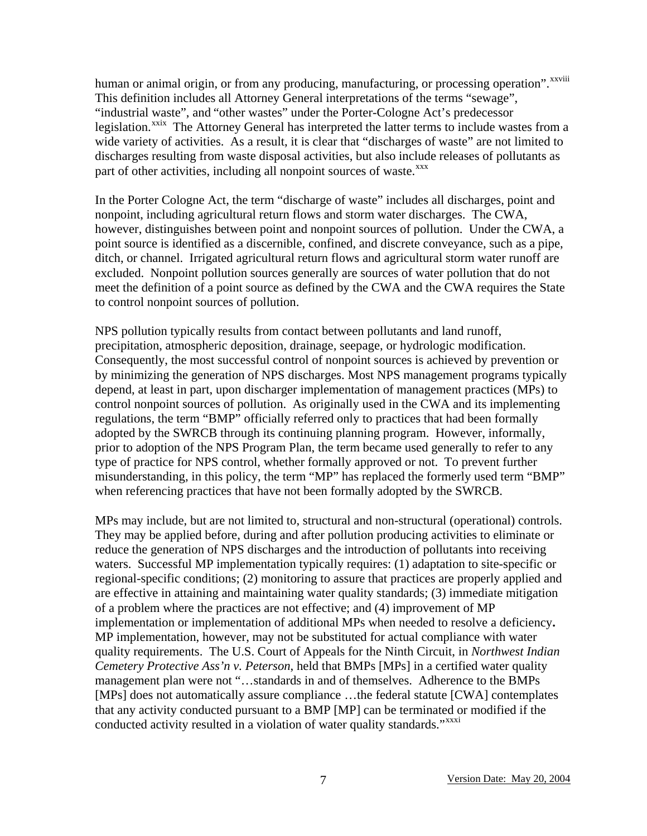human or animal origin, or from any producing, manufacturing, or processing operation". xxviii This definition includes all Attorney General interpretations of the terms "sewage", "industrial waste", and "other wastes" under the Porter-Cologne Act's predecessor legislation.<sup>xxix</sup> The Attorney General has interpreted the latter terms to include wastes from a wide variety of activities. As a result, it is clear that "discharges of waste" are not limited to discharges resulting from waste disposal activities, but also include releases of pollutants as part of other activities, including all nonpoint sources of waste.<sup>[xxx](#page-19-29)</sup>

In the Porter Cologne Act, the term "discharge of waste" includes all discharges, point and nonpoint, including agricultural return flows and storm water discharges. The CWA, however, distinguishes between point and nonpoint sources of pollution. Under the CWA, a point source is identified as a discernible, confined, and discrete conveyance, such as a pipe, ditch, or channel. Irrigated agricultural return flows and agricultural storm water runoff are excluded. Nonpoint pollution sources generally are sources of water pollution that do not meet the definition of a point source as defined by the CWA and the CWA requires the State to control nonpoint sources of pollution.

NPS pollution typically results from contact between pollutants and land runoff, precipitation, atmospheric deposition, drainage, seepage, or hydrologic modification. Consequently, the most successful control of nonpoint sources is achieved by prevention or by minimizing the generation of NPS discharges. Most NPS management programs typically depend, at least in part, upon discharger implementation of management practices (MPs) to control nonpoint sources of pollution. As originally used in the CWA and its implementing regulations, the term "BMP" officially referred only to practices that had been formally adopted by the SWRCB through its continuing planning program. However, informally, prior to adoption of the NPS Program Plan, the term became used generally to refer to any type of practice for NPS control, whether formally approved or not. To prevent further misunderstanding, in this policy, the term "MP" has replaced the formerly used term "BMP" when referencing practices that have not been formally adopted by the SWRCB.

MPs may include, but are not limited to, structural and non-structural (operational) controls. They may be applied before, during and after pollution producing activities to eliminate or reduce the generation of NPS discharges and the introduction of pollutants into receiving waters. Successful MP implementation typically requires: (1) adaptation to site-specific or regional-specific conditions; (2) monitoring to assure that practices are properly applied and are effective in attaining and maintaining water quality standards; (3) immediate mitigation of a problem where the practices are not effective; and (4) improvement of MP implementation or implementation of additional MPs when needed to resolve a deficiency**.**  MP implementation, however, may not be substituted for actual compliance with water quality requirements. The U.S. Court of Appeals for the Ninth Circuit, in *Northwest Indian Cemetery Protective Ass'n v. Peterson*, held that BMPs [MPs] in a certified water quality management plan were not "…standards in and of themselves. Adherence to the BMPs [MPs] does not automatically assure compliance …the federal statute [CWA] contemplates that any activity conducted pursuant to a BMP [MP] can be terminated or modified if the conducted activity resulted in a violation of water quality standards."<sup>[xxxi](#page-19-30)</sup>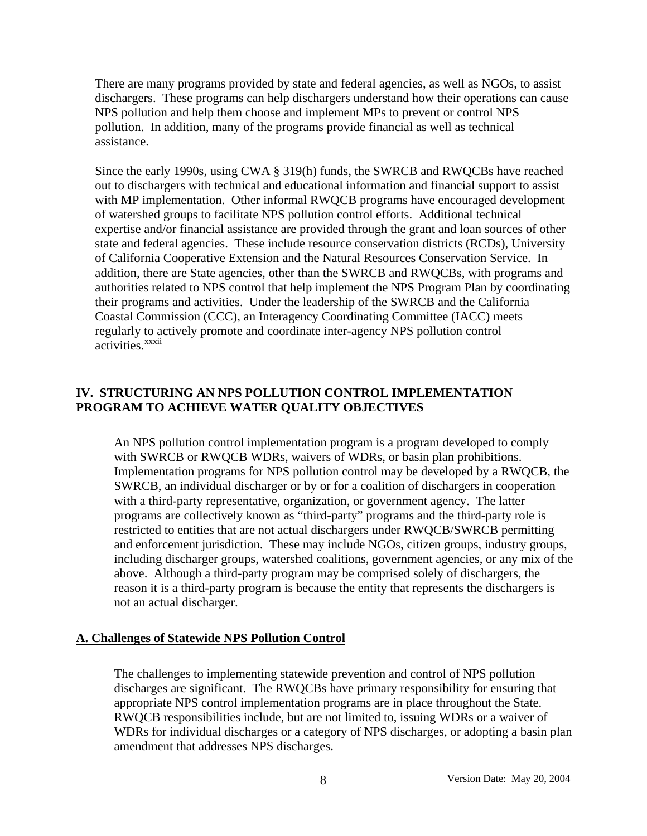There are many programs provided by state and federal agencies, as well as NGOs, to assist dischargers. These programs can help dischargers understand how their operations can cause NPS pollution and help them choose and implement MPs to prevent or control NPS pollution. In addition, many of the programs provide financial as well as technical assistance.

Since the early 1990s, using CWA § 319(h) funds, the SWRCB and RWQCBs have reached out to dischargers with technical and educational information and financial support to assist with MP implementation. Other informal RWQCB programs have encouraged development of watershed groups to facilitate NPS pollution control efforts. Additional technical expertise and/or financial assistance are provided through the grant and loan sources of other state and federal agencies. These include resource conservation districts (RCDs), University of California Cooperative Extension and the Natural Resources Conservation Service. In addition, there are State agencies, other than the SWRCB and RWQCBs, with programs and authorities related to NPS control that help implement the NPS Program Plan by coordinating their programs and activities. Under the leadership of the SWRCB and the California Coastal Commission (CCC), an Interagency Coordinating Committee (IACC) meets regularly to [ac](#page-19-31)tively promote and coordinate inter-agency NPS pollution control activities.<sup>xxxii</sup>

## **IV. STRUCTURING AN NPS POLLUTION CONTROL IMPLEMENTATION PROGRAM TO ACHIEVE WATER QUALITY OBJECTIVES**

An NPS pollution control implementation program is a program developed to comply with SWRCB or RWQCB WDRs, waivers of WDRs, or basin plan prohibitions. Implementation programs for NPS pollution control may be developed by a RWQCB, the SWRCB, an individual discharger or by or for a coalition of dischargers in cooperation with a third-party representative, organization, or government agency. The latter programs are collectively known as "third-party" programs and the third-party role is restricted to entities that are not actual dischargers under RWQCB/SWRCB permitting and enforcement jurisdiction. These may include NGOs, citizen groups, industry groups, including discharger groups, watershed coalitions, government agencies, or any mix of the above. Although a third-party program may be comprised solely of dischargers, the reason it is a third-party program is because the entity that represents the dischargers is not an actual discharger.

#### **A. Challenges of Statewide NPS Pollution Control**

The challenges to implementing statewide prevention and control of NPS pollution discharges are significant. The RWQCBs have primary responsibility for ensuring that appropriate NPS control implementation programs are in place throughout the State. RWQCB responsibilities include, but are not limited to, issuing WDRs or a waiver of WDRs for individual discharges or a category of NPS discharges, or adopting a basin plan amendment that addresses NPS discharges.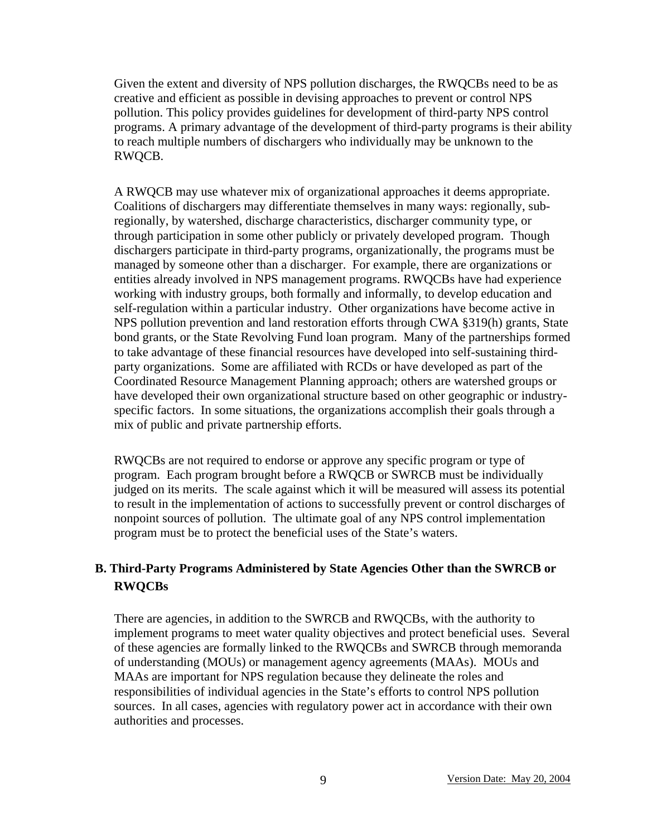Given the extent and diversity of NPS pollution discharges, the RWQCBs need to be as creative and efficient as possible in devising approaches to prevent or control NPS pollution. This policy provides guidelines for development of third-party NPS control programs. A primary advantage of the development of third-party programs is their ability to reach multiple numbers of dischargers who individually may be unknown to the RWQCB.

A RWQCB may use whatever mix of organizational approaches it deems appropriate. Coalitions of dischargers may differentiate themselves in many ways: regionally, subregionally, by watershed, discharge characteristics, discharger community type, or through participation in some other publicly or privately developed program. Though dischargers participate in third-party programs, organizationally, the programs must be managed by someone other than a discharger. For example, there are organizations or entities already involved in NPS management programs. RWQCBs have had experience working with industry groups, both formally and informally, to develop education and self-regulation within a particular industry. Other organizations have become active in NPS pollution prevention and land restoration efforts through CWA §319(h) grants, State bond grants, or the State Revolving Fund loan program. Many of the partnerships formed to take advantage of these financial resources have developed into self-sustaining thirdparty organizations. Some are affiliated with RCDs or have developed as part of the Coordinated Resource Management Planning approach; others are watershed groups or have developed their own organizational structure based on other geographic or industryspecific factors. In some situations, the organizations accomplish their goals through a mix of public and private partnership efforts.

RWQCBs are not required to endorse or approve any specific program or type of program. Each program brought before a RWQCB or SWRCB must be individually judged on its merits. The scale against which it will be measured will assess its potential to result in the implementation of actions to successfully prevent or control discharges of nonpoint sources of pollution. The ultimate goal of any NPS control implementation program must be to protect the beneficial uses of the State's waters.

## **B. Third-Party Programs Administered by State Agencies Other than the SWRCB or RWQCBs**

There are agencies, in addition to the SWRCB and RWQCBs, with the authority to implement programs to meet water quality objectives and protect beneficial uses. Several of these agencies are formally linked to the RWQCBs and SWRCB through memoranda of understanding (MOUs) or management agency agreements (MAAs). MOUs and MAAs are important for NPS regulation because they delineate the roles and responsibilities of individual agencies in the State's efforts to control NPS pollution sources. In all cases, agencies with regulatory power act in accordance with their own authorities and processes.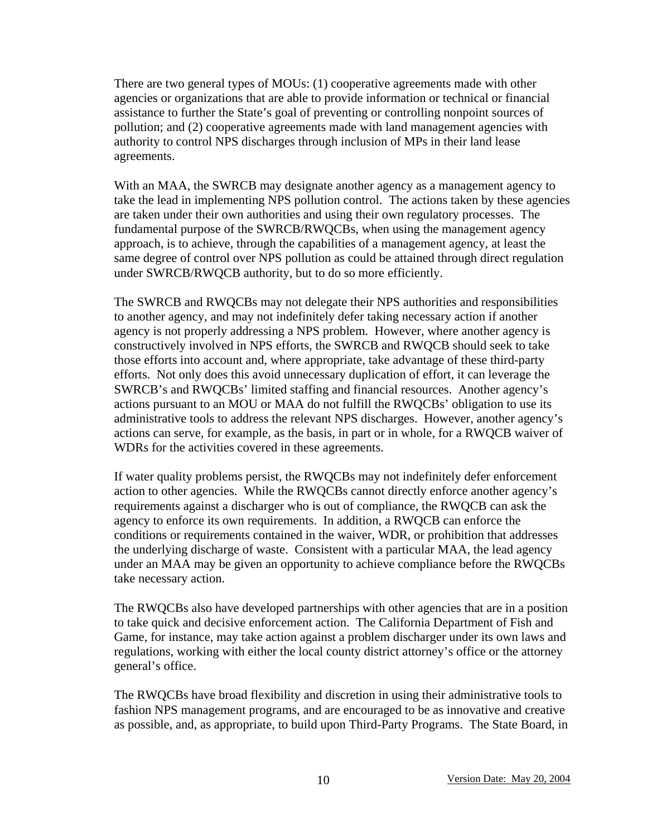There are two general types of MOUs: (1) cooperative agreements made with other agencies or organizations that are able to provide information or technical or financial assistance to further the State's goal of preventing or controlling nonpoint sources of pollution; and (2) cooperative agreements made with land management agencies with authority to control NPS discharges through inclusion of MPs in their land lease agreements.

With an MAA, the SWRCB may designate another agency as a management agency to take the lead in implementing NPS pollution control. The actions taken by these agencies are taken under their own authorities and using their own regulatory processes. The fundamental purpose of the SWRCB/RWQCBs, when using the management agency approach, is to achieve, through the capabilities of a management agency, at least the same degree of control over NPS pollution as could be attained through direct regulation under SWRCB/RWQCB authority, but to do so more efficiently.

The SWRCB and RWQCBs may not delegate their NPS authorities and responsibilities to another agency, and may not indefinitely defer taking necessary action if another agency is not properly addressing a NPS problem. However, where another agency is constructively involved in NPS efforts, the SWRCB and RWQCB should seek to take those efforts into account and, where appropriate, take advantage of these third-party efforts. Not only does this avoid unnecessary duplication of effort, it can leverage the SWRCB's and RWQCBs' limited staffing and financial resources. Another agency's actions pursuant to an MOU or MAA do not fulfill the RWQCBs' obligation to use its administrative tools to address the relevant NPS discharges. However, another agency's actions can serve, for example, as the basis, in part or in whole, for a RWQCB waiver of WDRs for the activities covered in these agreements.

If water quality problems persist, the RWQCBs may not indefinitely defer enforcement action to other agencies. While the RWQCBs cannot directly enforce another agency's requirements against a discharger who is out of compliance, the RWQCB can ask the agency to enforce its own requirements. In addition, a RWQCB can enforce the conditions or requirements contained in the waiver, WDR, or prohibition that addresses the underlying discharge of waste. Consistent with a particular MAA, the lead agency under an MAA may be given an opportunity to achieve compliance before the RWQCBs take necessary action.

The RWQCBs also have developed partnerships with other agencies that are in a position to take quick and decisive enforcement action. The California Department of Fish and Game, for instance, may take action against a problem discharger under its own laws and regulations, working with either the local county district attorney's office or the attorney general's office.

The RWQCBs have broad flexibility and discretion in using their administrative tools to fashion NPS management programs, and are encouraged to be as innovative and creative as possible, and, as appropriate, to build upon Third-Party Programs. The State Board, in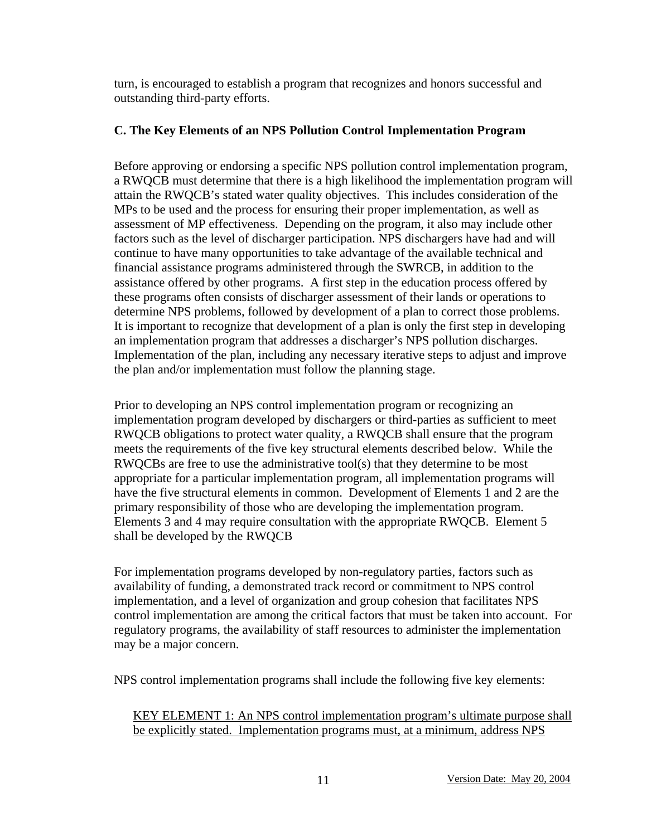turn, is encouraged to establish a program that recognizes and honors successful and outstanding third-party efforts.

### **C. The Key Elements of an NPS Pollution Control Implementation Program**

Before approving or endorsing a specific NPS pollution control implementation program, a RWQCB must determine that there is a high likelihood the implementation program will attain the RWQCB's stated water quality objectives. This includes consideration of the MPs to be used and the process for ensuring their proper implementation, as well as assessment of MP effectiveness. Depending on the program, it also may include other factors such as the level of discharger participation. NPS dischargers have had and will continue to have many opportunities to take advantage of the available technical and financial assistance programs administered through the SWRCB, in addition to the assistance offered by other programs. A first step in the education process offered by these programs often consists of discharger assessment of their lands or operations to determine NPS problems, followed by development of a plan to correct those problems. It is important to recognize that development of a plan is only the first step in developing an implementation program that addresses a discharger's NPS pollution discharges. Implementation of the plan, including any necessary iterative steps to adjust and improve the plan and/or implementation must follow the planning stage.

Prior to developing an NPS control implementation program or recognizing an implementation program developed by dischargers or third-parties as sufficient to meet RWQCB obligations to protect water quality, a RWQCB shall ensure that the program meets the requirements of the five key structural elements described below. While the RWQCBs are free to use the administrative tool(s) that they determine to be most appropriate for a particular implementation program, all implementation programs will have the five structural elements in common. Development of Elements 1 and 2 are the primary responsibility of those who are developing the implementation program. Elements 3 and 4 may require consultation with the appropriate RWQCB. Element 5 shall be developed by the RWQCB

For implementation programs developed by non-regulatory parties, factors such as availability of funding, a demonstrated track record or commitment to NPS control implementation, and a level of organization and group cohesion that facilitates NPS control implementation are among the critical factors that must be taken into account. For regulatory programs, the availability of staff resources to administer the implementation may be a major concern.

NPS control implementation programs shall include the following five key elements:

KEY ELEMENT 1: An NPS control implementation program's ultimate purpose shall be explicitly stated. Implementation programs must, at a minimum, address NPS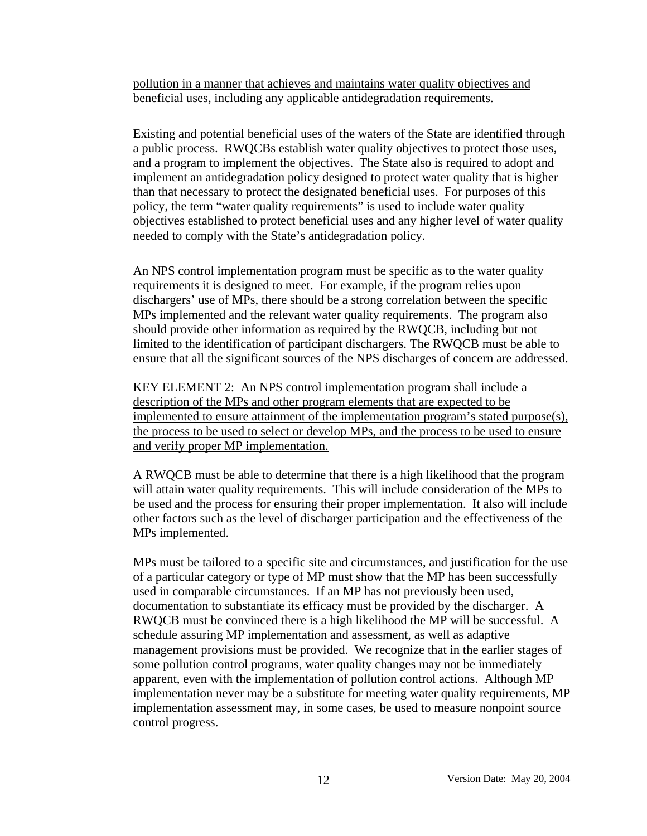pollution in a manner that achieves and maintains water quality objectives and beneficial uses, including any applicable antidegradation requirements.

Existing and potential beneficial uses of the waters of the State are identified through a public process. RWQCBs establish water quality objectives to protect those uses, and a program to implement the objectives. The State also is required to adopt and implement an antidegradation policy designed to protect water quality that is higher than that necessary to protect the designated beneficial uses. For purposes of this policy, the term "water quality requirements" is used to include water quality objectives established to protect beneficial uses and any higher level of water quality needed to comply with the State's antidegradation policy.

An NPS control implementation program must be specific as to the water quality requirements it is designed to meet. For example, if the program relies upon dischargers' use of MPs, there should be a strong correlation between the specific MPs implemented and the relevant water quality requirements. The program also should provide other information as required by the RWQCB, including but not limited to the identification of participant dischargers. The RWQCB must be able to ensure that all the significant sources of the NPS discharges of concern are addressed.

KEY ELEMENT 2: An NPS control implementation program shall include a description of the MPs and other program elements that are expected to be implemented to ensure attainment of the implementation program's stated purpose(s), the process to be used to select or develop MPs, and the process to be used to ensure and verify proper MP implementation.

A RWQCB must be able to determine that there is a high likelihood that the program will attain water quality requirements. This will include consideration of the MPs to be used and the process for ensuring their proper implementation. It also will include other factors such as the level of discharger participation and the effectiveness of the MPs implemented.

MPs must be tailored to a specific site and circumstances, and justification for the use of a particular category or type of MP must show that the MP has been successfully used in comparable circumstances. If an MP has not previously been used, documentation to substantiate its efficacy must be provided by the discharger. A RWQCB must be convinced there is a high likelihood the MP will be successful. A schedule assuring MP implementation and assessment, as well as adaptive management provisions must be provided. We recognize that in the earlier stages of some pollution control programs, water quality changes may not be immediately apparent, even with the implementation of pollution control actions. Although MP implementation never may be a substitute for meeting water quality requirements, MP implementation assessment may, in some cases, be used to measure nonpoint source control progress.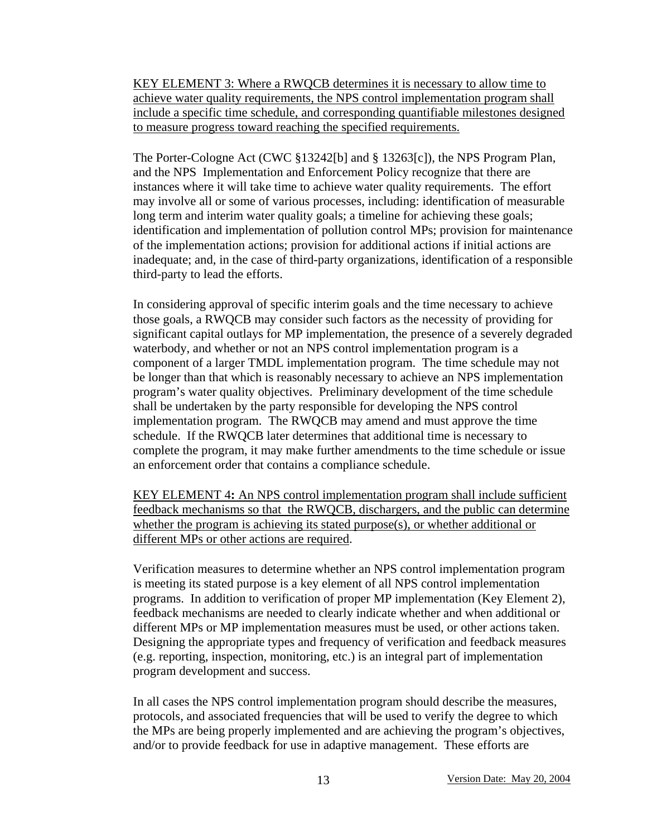KEY ELEMENT 3: Where a RWQCB determines it is necessary to allow time to achieve water quality requirements, the NPS control implementation program shall include a specific time schedule, and corresponding quantifiable milestones designed to measure progress toward reaching the specified requirements.

The Porter-Cologne Act (CWC §13242[b] and § 13263[c]), the NPS Program Plan, and the NPS Implementation and Enforcement Policy recognize that there are instances where it will take time to achieve water quality requirements. The effort may involve all or some of various processes, including: identification of measurable long term and interim water quality goals; a timeline for achieving these goals; identification and implementation of pollution control MPs; provision for maintenance of the implementation actions; provision for additional actions if initial actions are inadequate; and, in the case of third-party organizations, identification of a responsible third-party to lead the efforts.

In considering approval of specific interim goals and the time necessary to achieve those goals, a RWQCB may consider such factors as the necessity of providing for significant capital outlays for MP implementation, the presence of a severely degraded waterbody, and whether or not an NPS control implementation program is a component of a larger TMDL implementation program. The time schedule may not be longer than that which is reasonably necessary to achieve an NPS implementation program's water quality objectives. Preliminary development of the time schedule shall be undertaken by the party responsible for developing the NPS control implementation program. The RWQCB may amend and must approve the time schedule. If the RWQCB later determines that additional time is necessary to complete the program, it may make further amendments to the time schedule or issue an enforcement order that contains a compliance schedule.

KEY ELEMENT 4**:** An NPS control implementation program shall include sufficient feedback mechanisms so that the RWQCB, dischargers, and the public can determine whether the program is achieving its stated purpose(s), or whether additional or different MPs or other actions are required.

Verification measures to determine whether an NPS control implementation program is meeting its stated purpose is a key element of all NPS control implementation programs. In addition to verification of proper MP implementation (Key Element 2), feedback mechanisms are needed to clearly indicate whether and when additional or different MPs or MP implementation measures must be used, or other actions taken. Designing the appropriate types and frequency of verification and feedback measures (e.g. reporting, inspection, monitoring, etc.) is an integral part of implementation program development and success.

In all cases the NPS control implementation program should describe the measures, protocols, and associated frequencies that will be used to verify the degree to which the MPs are being properly implemented and are achieving the program's objectives, and/or to provide feedback for use in adaptive management. These efforts are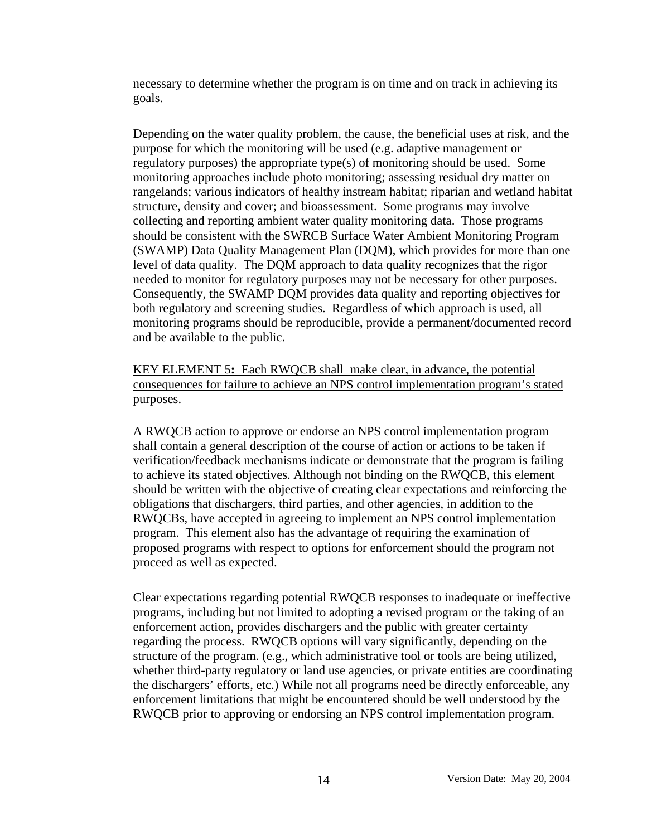necessary to determine whether the program is on time and on track in achieving its goals.

Depending on the water quality problem, the cause, the beneficial uses at risk, and the purpose for which the monitoring will be used (e.g. adaptive management or regulatory purposes) the appropriate type(s) of monitoring should be used. Some monitoring approaches include photo monitoring; assessing residual dry matter on rangelands; various indicators of healthy instream habitat; riparian and wetland habitat structure, density and cover; and bioassessment. Some programs may involve collecting and reporting ambient water quality monitoring data. Those programs should be consistent with the SWRCB Surface Water Ambient Monitoring Program (SWAMP) Data Quality Management Plan (DQM), which provides for more than one level of data quality. The DQM approach to data quality recognizes that the rigor needed to monitor for regulatory purposes may not be necessary for other purposes. Consequently, the SWAMP DQM provides data quality and reporting objectives for both regulatory and screening studies. Regardless of which approach is used, all monitoring programs should be reproducible, provide a permanent/documented record and be available to the public.

KEY ELEMENT 5**:** Each RWQCB shall make clear, in advance, the potential consequences for failure to achieve an NPS control implementation program's stated purposes.

A RWQCB action to approve or endorse an NPS control implementation program shall contain a general description of the course of action or actions to be taken if verification/feedback mechanisms indicate or demonstrate that the program is failing to achieve its stated objectives. Although not binding on the RWQCB, this element should be written with the objective of creating clear expectations and reinforcing the obligations that dischargers, third parties, and other agencies, in addition to the RWQCBs, have accepted in agreeing to implement an NPS control implementation program. This element also has the advantage of requiring the examination of proposed programs with respect to options for enforcement should the program not proceed as well as expected.

Clear expectations regarding potential RWQCB responses to inadequate or ineffective programs, including but not limited to adopting a revised program or the taking of an enforcement action, provides dischargers and the public with greater certainty regarding the process. RWQCB options will vary significantly, depending on the structure of the program. (e.g., which administrative tool or tools are being utilized, whether third-party regulatory or land use agencies, or private entities are coordinating the dischargers' efforts, etc.) While not all programs need be directly enforceable, any enforcement limitations that might be encountered should be well understood by the RWQCB prior to approving or endorsing an NPS control implementation program.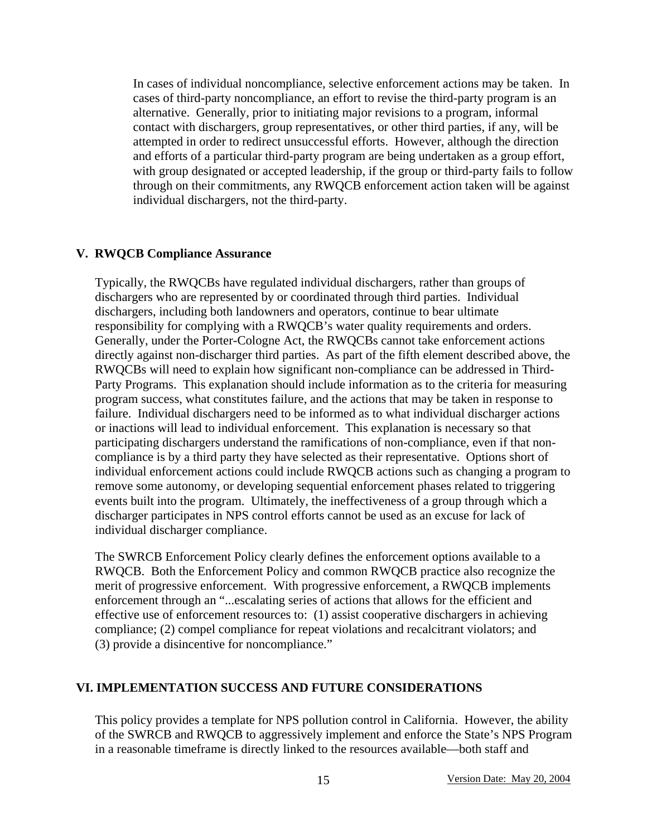In cases of individual noncompliance, selective enforcement actions may be taken. In cases of third-party noncompliance, an effort to revise the third-party program is an alternative. Generally, prior to initiating major revisions to a program, informal contact with dischargers, group representatives, or other third parties, if any, will be attempted in order to redirect unsuccessful efforts. However, although the direction and efforts of a particular third-party program are being undertaken as a group effort, with group designated or accepted leadership, if the group or third-party fails to follow through on their commitments, any RWQCB enforcement action taken will be against individual dischargers, not the third-party.

#### **V. RWQCB Compliance Assurance**

Typically, the RWQCBs have regulated individual dischargers, rather than groups of dischargers who are represented by or coordinated through third parties. Individual dischargers, including both landowners and operators, continue to bear ultimate responsibility for complying with a RWQCB's water quality requirements and orders. Generally, under the Porter-Cologne Act, the RWQCBs cannot take enforcement actions directly against non-discharger third parties. As part of the fifth element described above, the RWQCBs will need to explain how significant non-compliance can be addressed in Third-Party Programs. This explanation should include information as to the criteria for measuring program success, what constitutes failure, and the actions that may be taken in response to failure. Individual dischargers need to be informed as to what individual discharger actions or inactions will lead to individual enforcement. This explanation is necessary so that participating dischargers understand the ramifications of non-compliance, even if that noncompliance is by a third party they have selected as their representative. Options short of individual enforcement actions could include RWQCB actions such as changing a program to remove some autonomy, or developing sequential enforcement phases related to triggering events built into the program. Ultimately, the ineffectiveness of a group through which a discharger participates in NPS control efforts cannot be used as an excuse for lack of individual discharger compliance.

The SWRCB Enforcement Policy clearly defines the enforcement options available to a RWQCB. Both the Enforcement Policy and common RWQCB practice also recognize the merit of progressive enforcement. With progressive enforcement, a RWQCB implements enforcement through an "...escalating series of actions that allows for the efficient and effective use of enforcement resources to: (1) assist cooperative dischargers in achieving compliance; (2) compel compliance for repeat violations and recalcitrant violators; and (3) provide a disincentive for noncompliance."

### **VI. IMPLEMENTATION SUCCESS AND FUTURE CONSIDERATIONS**

This policy provides a template for NPS pollution control in California. However, the ability of the SWRCB and RWQCB to aggressively implement and enforce the State's NPS Program in a reasonable timeframe is directly linked to the resources available—both staff and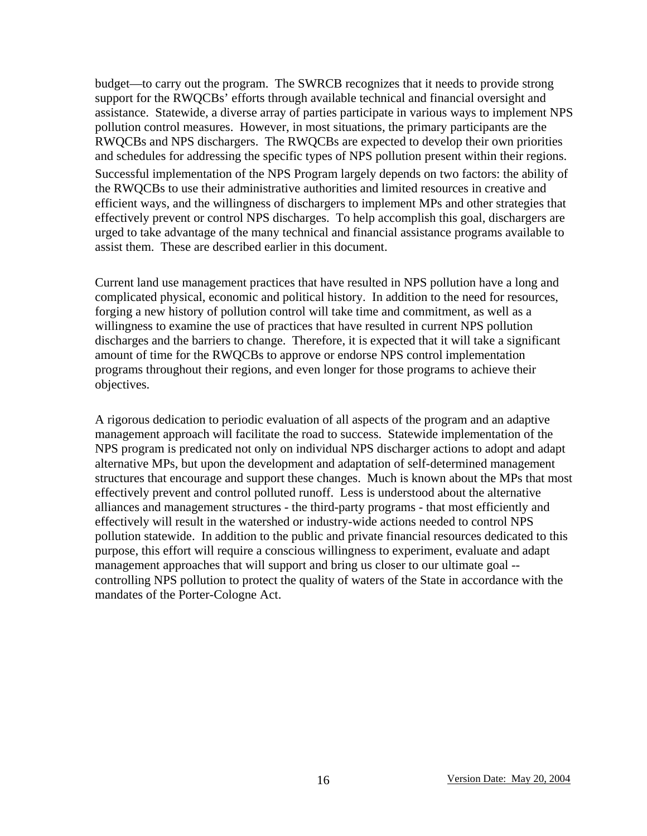budget—to carry out the program. The SWRCB recognizes that it needs to provide strong support for the RWQCBs' efforts through available technical and financial oversight and assistance. Statewide, a diverse array of parties participate in various ways to implement NPS pollution control measures. However, in most situations, the primary participants are the RWQCBs and NPS dischargers. The RWQCBs are expected to develop their own priorities and schedules for addressing the specific types of NPS pollution present within their regions. Successful implementation of the NPS Program largely depends on two factors: the ability of the RWQCBs to use their administrative authorities and limited resources in creative and efficient ways, and the willingness of dischargers to implement MPs and other strategies that effectively prevent or control NPS discharges. To help accomplish this goal, dischargers are urged to take advantage of the many technical and financial assistance programs available to assist them. These are described earlier in this document.

Current land use management practices that have resulted in NPS pollution have a long and complicated physical, economic and political history. In addition to the need for resources, forging a new history of pollution control will take time and commitment, as well as a willingness to examine the use of practices that have resulted in current NPS pollution discharges and the barriers to change. Therefore, it is expected that it will take a significant amount of time for the RWQCBs to approve or endorse NPS control implementation programs throughout their regions, and even longer for those programs to achieve their objectives.

A rigorous dedication to periodic evaluation of all aspects of the program and an adaptive management approach will facilitate the road to success. Statewide implementation of the NPS program is predicated not only on individual NPS discharger actions to adopt and adapt alternative MPs, but upon the development and adaptation of self-determined management structures that encourage and support these changes. Much is known about the MPs that most effectively prevent and control polluted runoff. Less is understood about the alternative alliances and management structures - the third-party programs - that most efficiently and effectively will result in the watershed or industry-wide actions needed to control NPS pollution statewide. In addition to the public and private financial resources dedicated to this purpose, this effort will require a conscious willingness to experiment, evaluate and adapt management approaches that will support and bring us closer to our ultimate goal - controlling NPS pollution to protect the quality of waters of the State in accordance with the mandates of the Porter-Cologne Act.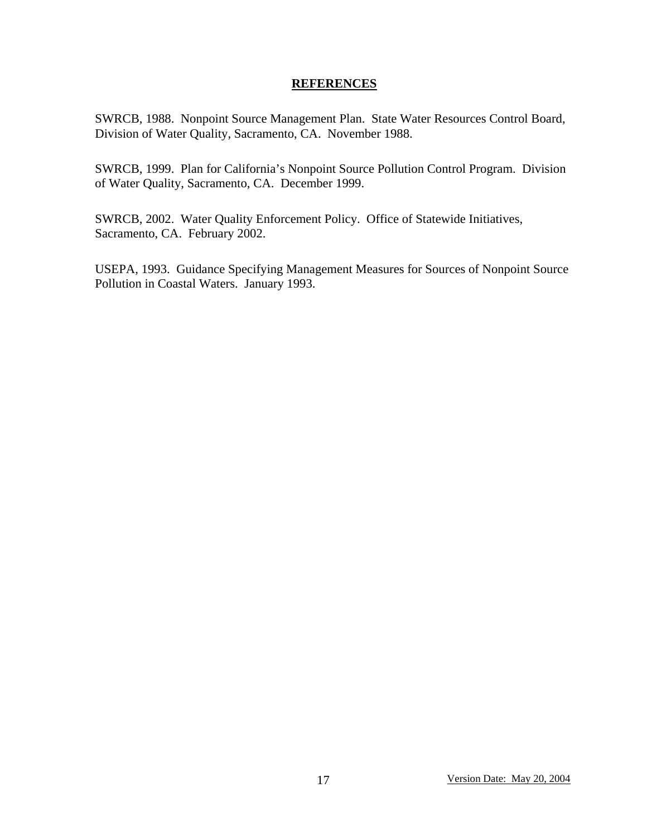#### **REFERENCES**

SWRCB, 1988. Nonpoint Source Management Plan. State Water Resources Control Board, Division of Water Quality, Sacramento, CA. November 1988.

SWRCB, 1999. Plan for California's Nonpoint Source Pollution Control Program. Division of Water Quality, Sacramento, CA. December 1999.

SWRCB, 2002. Water Quality Enforcement Policy. Office of Statewide Initiatives, Sacramento, CA. February 2002.

USEPA, 1993. Guidance Specifying Management Measures for Sources of Nonpoint Source Pollution in Coastal Waters. January 1993.